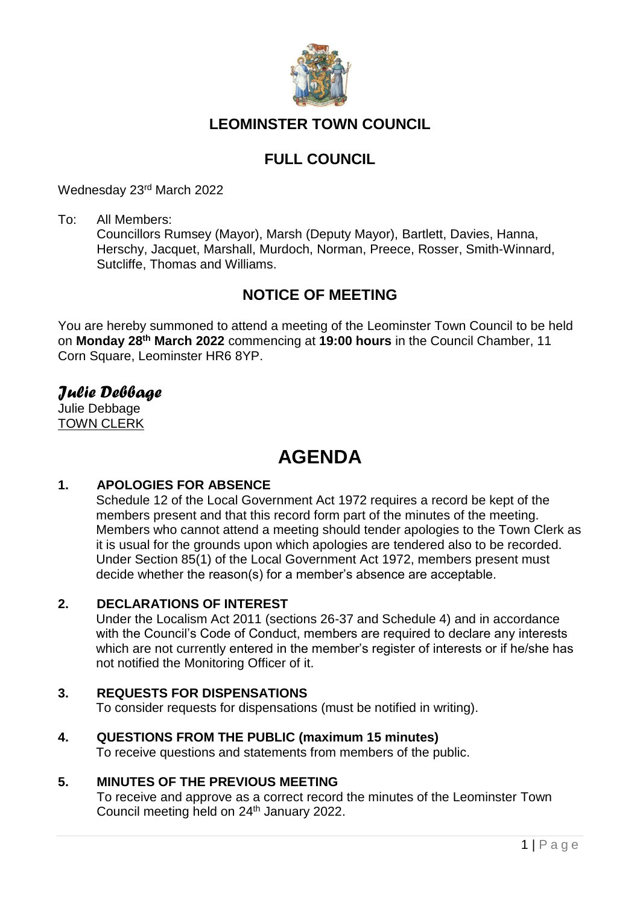

# **LEOMINSTER TOWN COUNCIL**

# **FULL COUNCIL**

Wednesday 23rd March 2022

To: All Members:

Councillors Rumsey (Mayor), Marsh (Deputy Mayor), Bartlett, Davies, Hanna, Herschy, Jacquet, Marshall, Murdoch, Norman, Preece, Rosser, Smith-Winnard, Sutcliffe, Thomas and Williams.

# **NOTICE OF MEETING**

You are hereby summoned to attend a meeting of the Leominster Town Council to be held on **Monday 28th March 2022** commencing at **19:00 hours** in the Council Chamber, 11 Corn Square, Leominster HR6 8YP.

# *Julie Debbage*

Julie Debbage TOWN CLERK

# **AGENDA**

# **1. APOLOGIES FOR ABSENCE**

Schedule 12 of the Local Government Act 1972 requires a record be kept of the members present and that this record form part of the minutes of the meeting. Members who cannot attend a meeting should tender apologies to the Town Clerk as it is usual for the grounds upon which apologies are tendered also to be recorded. Under Section 85(1) of the Local Government Act 1972, members present must decide whether the reason(s) for a member's absence are acceptable.

#### **2. DECLARATIONS OF INTEREST**

Under the Localism Act 2011 (sections 26-37 and Schedule 4) and in accordance with the Council's Code of Conduct, members are required to declare any interests which are not currently entered in the member's register of interests or if he/she has not notified the Monitoring Officer of it.

# **3. REQUESTS FOR DISPENSATIONS**

To consider requests for dispensations (must be notified in writing).

# **4. QUESTIONS FROM THE PUBLIC (maximum 15 minutes)**

To receive questions and statements from members of the public.

## **5. MINUTES OF THE PREVIOUS MEETING**

To receive and approve as a correct record the minutes of the Leominster Town Council meeting held on 24<sup>th</sup> January 2022.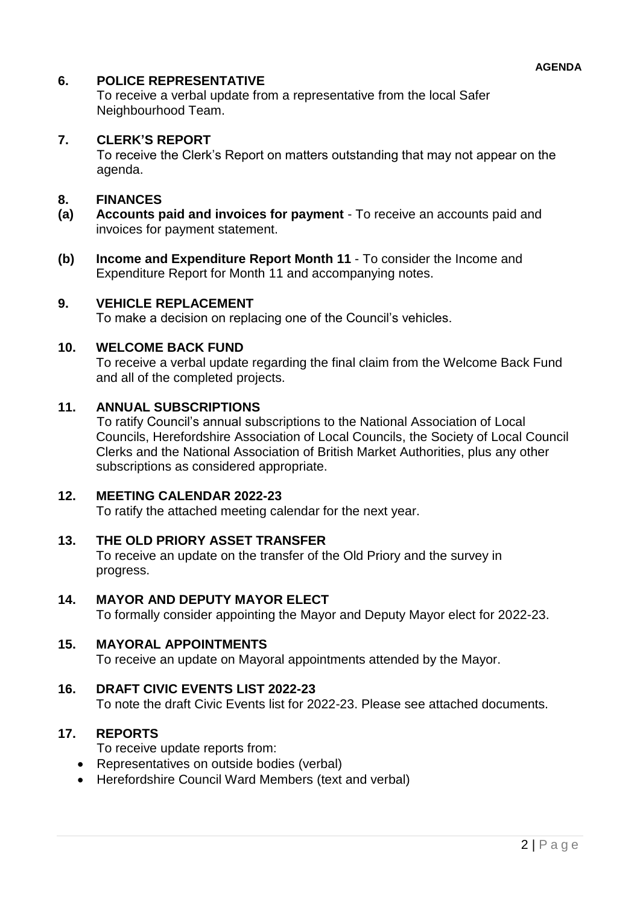# **6. POLICE REPRESENTATIVE**

To receive a verbal update from a representative from the local Safer Neighbourhood Team.

# **7. CLERK'S REPORT**

To receive the Clerk's Report on matters outstanding that may not appear on the agenda.

## **8. FINANCES**

- **(a) Accounts paid and invoices for payment**  To receive an accounts paid and invoices for payment statement.
- **(b) Income and Expenditure Report Month 11** To consider the Income and Expenditure Report for Month 11 and accompanying notes.

#### **9. VEHICLE REPLACEMENT**

To make a decision on replacing one of the Council's vehicles.

## **10. WELCOME BACK FUND**

To receive a verbal update regarding the final claim from the Welcome Back Fund and all of the completed projects.

#### **11. ANNUAL SUBSCRIPTIONS**

To ratify Council's annual subscriptions to the National Association of Local Councils, Herefordshire Association of Local Councils, the Society of Local Council Clerks and the National Association of British Market Authorities, plus any other subscriptions as considered appropriate.

#### **12. MEETING CALENDAR 2022-23**

To ratify the attached meeting calendar for the next year.

#### **13. THE OLD PRIORY ASSET TRANSFER**

To receive an update on the transfer of the Old Priory and the survey in progress.

## **14. MAYOR AND DEPUTY MAYOR ELECT**

To formally consider appointing the Mayor and Deputy Mayor elect for 2022-23.

#### **15. MAYORAL APPOINTMENTS**

To receive an update on Mayoral appointments attended by the Mayor.

## **16. DRAFT CIVIC EVENTS LIST 2022-23**

To note the draft Civic Events list for 2022-23. Please see attached documents.

# **17. REPORTS**

To receive update reports from:

- Representatives on outside bodies (verbal)
- Herefordshire Council Ward Members (text and verbal)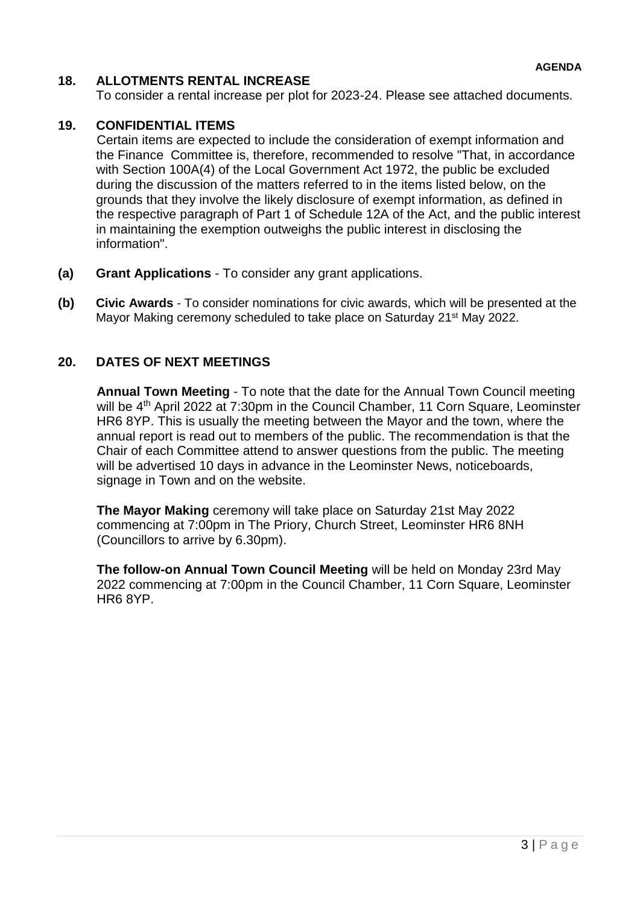# **18. ALLOTMENTS RENTAL INCREASE**

To consider a rental increase per plot for 2023-24. Please see attached documents.

# **19. CONFIDENTIAL ITEMS**

Certain items are expected to include the consideration of exempt information and the Finance Committee is, therefore, recommended to resolve "That, in accordance with Section 100A(4) of the Local Government Act 1972, the public be excluded during the discussion of the matters referred to in the items listed below, on the grounds that they involve the likely disclosure of exempt information, as defined in the respective paragraph of Part 1 of Schedule 12A of the Act, and the public interest in maintaining the exemption outweighs the public interest in disclosing the information".

- **(a) Grant Applications**  To consider any grant applications.
- **(b) Civic Awards** To consider nominations for civic awards, which will be presented at the Mayor Making ceremony scheduled to take place on Saturday 21<sup>st</sup> May 2022.

# **20. DATES OF NEXT MEETINGS**

**Annual Town Meeting** - To note that the date for the Annual Town Council meeting will be 4<sup>th</sup> April 2022 at 7:30pm in the Council Chamber, 11 Corn Square, Leominster HR6 8YP. This is usually the meeting between the Mayor and the town, where the annual report is read out to members of the public. The recommendation is that the Chair of each Committee attend to answer questions from the public. The meeting will be advertised 10 days in advance in the Leominster News, noticeboards, signage in Town and on the website.

**The Mayor Making** ceremony will take place on Saturday 21st May 2022 commencing at 7:00pm in The Priory, Church Street, Leominster HR6 8NH (Councillors to arrive by 6.30pm).

**The follow-on Annual Town Council Meeting** will be held on Monday 23rd May 2022 commencing at 7:00pm in the Council Chamber, 11 Corn Square, Leominster HR6 8YP.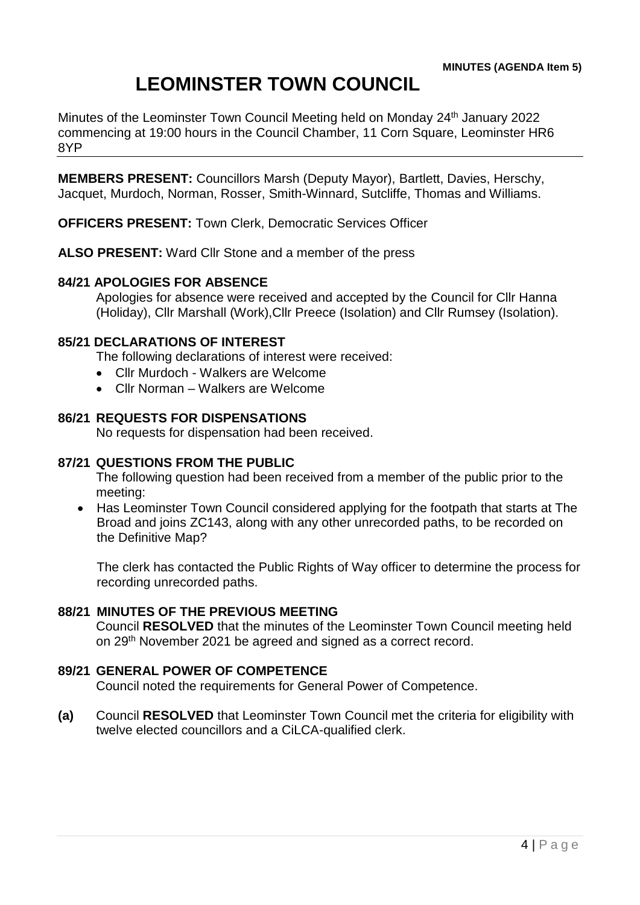# **LEOMINSTER TOWN COUNCIL**

Minutes of the Leominster Town Council Meeting held on Monday 24<sup>th</sup> January 2022 commencing at 19:00 hours in the Council Chamber, 11 Corn Square, Leominster HR6 8YP

**MEMBERS PRESENT:** Councillors Marsh (Deputy Mayor), Bartlett, Davies, Herschy, Jacquet, Murdoch, Norman, Rosser, Smith-Winnard, Sutcliffe, Thomas and Williams.

**OFFICERS PRESENT:** Town Clerk, Democratic Services Officer

**ALSO PRESENT:** Ward Cllr Stone and a member of the press

#### **84/21 APOLOGIES FOR ABSENCE**

Apologies for absence were received and accepted by the Council for Cllr Hanna (Holiday), Cllr Marshall (Work),Cllr Preece (Isolation) and Cllr Rumsey (Isolation).

#### **85/21 DECLARATIONS OF INTEREST**

The following declarations of interest were received:

- Cllr Murdoch Walkers are Welcome
- Cllr Norman Walkers are Welcome

#### **86/21 REQUESTS FOR DISPENSATIONS**

No requests for dispensation had been received.

#### **87/21 QUESTIONS FROM THE PUBLIC**

The following question had been received from a member of the public prior to the meeting:

 Has Leominster Town Council considered applying for the footpath that starts at The Broad and joins ZC143, along with any other unrecorded paths, to be recorded on the Definitive Map?

The clerk has contacted the Public Rights of Way officer to determine the process for recording unrecorded paths.

#### **88/21 MINUTES OF THE PREVIOUS MEETING**

Council **RESOLVED** that the minutes of the Leominster Town Council meeting held on 29th November 2021 be agreed and signed as a correct record.

#### **89/21 GENERAL POWER OF COMPETENCE**

Council noted the requirements for General Power of Competence.

**(a)** Council **RESOLVED** that Leominster Town Council met the criteria for eligibility with twelve elected councillors and a CiLCA-qualified clerk.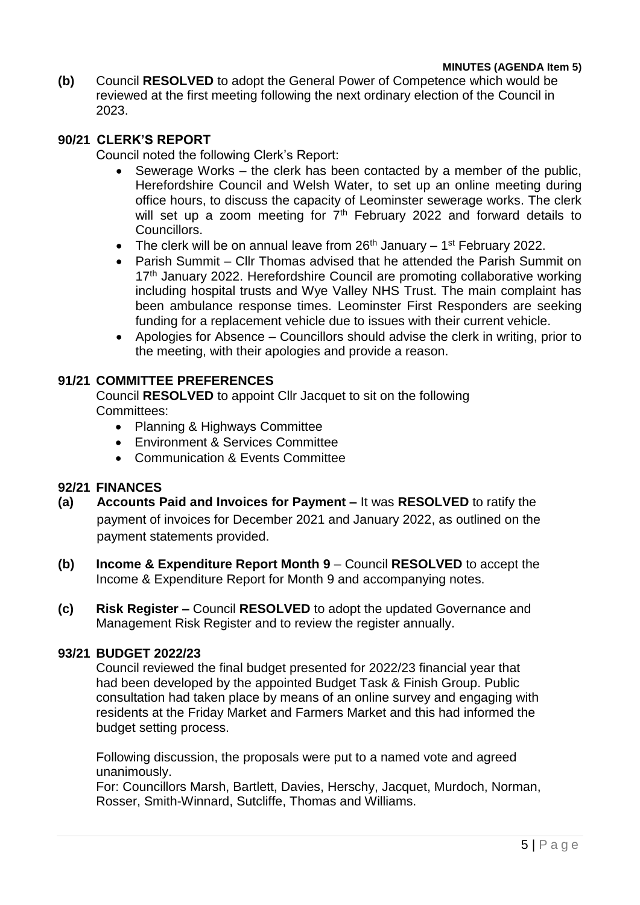#### **MINUTES (AGENDA Item 5)**

**(b)** Council **RESOLVED** to adopt the General Power of Competence which would be reviewed at the first meeting following the next ordinary election of the Council in 2023.

## **90/21 CLERK'S REPORT**

Council noted the following Clerk's Report:

- Sewerage Works the clerk has been contacted by a member of the public, Herefordshire Council and Welsh Water, to set up an online meeting during office hours, to discuss the capacity of Leominster sewerage works. The clerk will set up a zoom meeting for  $7<sup>th</sup>$  February 2022 and forward details to Councillors.
- The clerk will be on annual leave from  $26<sup>th</sup>$  January 1<sup>st</sup> February 2022.
- Parish Summit Cllr Thomas advised that he attended the Parish Summit on 17<sup>th</sup> January 2022. Herefordshire Council are promoting collaborative working including hospital trusts and Wye Valley NHS Trust. The main complaint has been ambulance response times. Leominster First Responders are seeking funding for a replacement vehicle due to issues with their current vehicle.
- Apologies for Absence Councillors should advise the clerk in writing, prior to the meeting, with their apologies and provide a reason.

## **91/21 COMMITTEE PREFERENCES**

Council **RESOLVED** to appoint Cllr Jacquet to sit on the following Committees:

- Planning & Highways Committee
- Environment & Services Committee
- Communication & Events Committee

#### **92/21 FINANCES**

- **(a) Accounts Paid and Invoices for Payment –** It was **RESOLVED** to ratify the payment of invoices for December 2021 and January 2022, as outlined on the payment statements provided.
- **(b) Income & Expenditure Report Month 9** Council **RESOLVED** to accept the Income & Expenditure Report for Month 9 and accompanying notes.
- **(c) Risk Register –** Council **RESOLVED** to adopt the updated Governance and Management Risk Register and to review the register annually.

#### **93/21 BUDGET 2022/23**

Council reviewed the final budget presented for 2022/23 financial year that had been developed by the appointed Budget Task & Finish Group. Public consultation had taken place by means of an online survey and engaging with residents at the Friday Market and Farmers Market and this had informed the budget setting process.

Following discussion, the proposals were put to a named vote and agreed unanimously.

For: Councillors Marsh, Bartlett, Davies, Herschy, Jacquet, Murdoch, Norman, Rosser, Smith-Winnard, Sutcliffe, Thomas and Williams.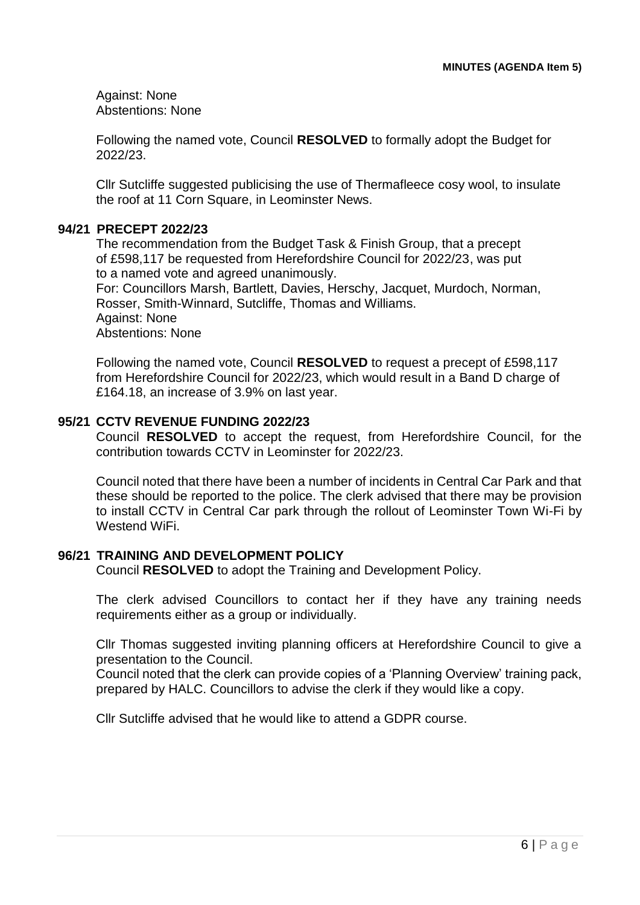Against: None Abstentions: None

Following the named vote, Council **RESOLVED** to formally adopt the Budget for 2022/23.

Cllr Sutcliffe suggested publicising the use of Thermafleece cosy wool, to insulate the roof at 11 Corn Square, in Leominster News.

#### **94/21 PRECEPT 2022/23**

The recommendation from the Budget Task & Finish Group, that a precept of £598,117 be requested from Herefordshire Council for 2022/23, was put to a named vote and agreed unanimously.

For: Councillors Marsh, Bartlett, Davies, Herschy, Jacquet, Murdoch, Norman, Rosser, Smith-Winnard, Sutcliffe, Thomas and Williams. Against: None

Abstentions: None

Following the named vote, Council **RESOLVED** to request a precept of £598,117 from Herefordshire Council for 2022/23, which would result in a Band D charge of £164.18, an increase of 3.9% on last year.

#### **95/21 CCTV REVENUE FUNDING 2022/23**

Council **RESOLVED** to accept the request, from Herefordshire Council, for the contribution towards CCTV in Leominster for 2022/23.

Council noted that there have been a number of incidents in Central Car Park and that these should be reported to the police. The clerk advised that there may be provision to install CCTV in Central Car park through the rollout of Leominster Town Wi-Fi by Westend WiFi.

#### **96/21 TRAINING AND DEVELOPMENT POLICY**

Council **RESOLVED** to adopt the Training and Development Policy.

The clerk advised Councillors to contact her if they have any training needs requirements either as a group or individually.

Cllr Thomas suggested inviting planning officers at Herefordshire Council to give a presentation to the Council.

Council noted that the clerk can provide copies of a 'Planning Overview' training pack, prepared by HALC. Councillors to advise the clerk if they would like a copy.

Cllr Sutcliffe advised that he would like to attend a GDPR course.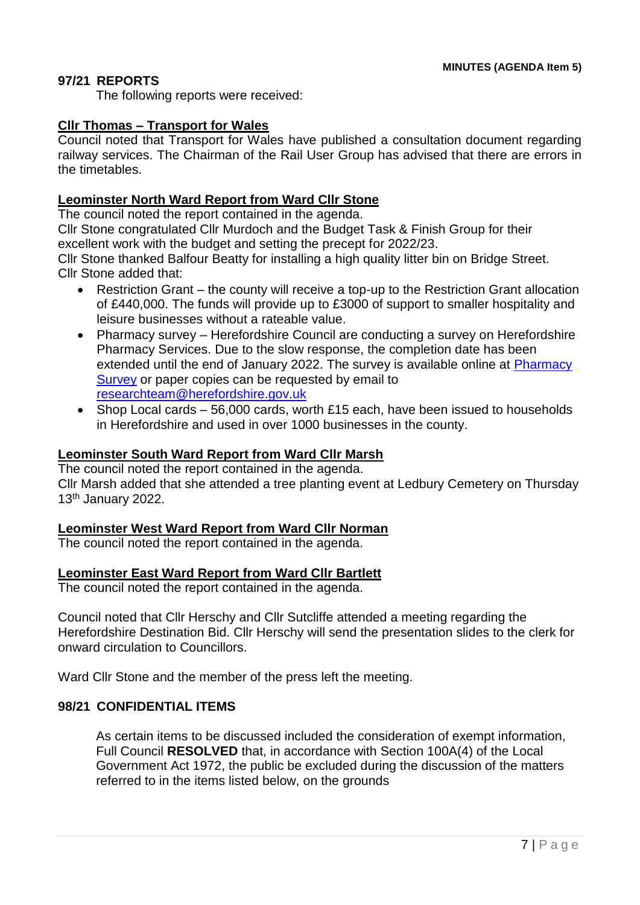## **97/21 REPORTS**

The following reports were received:

#### **Cllr Thomas – Transport for Wales**

Council noted that Transport for Wales have published a consultation document regarding railway services. The Chairman of the Rail User Group has advised that there are errors in the timetables.

## **Leominster North Ward Report from Ward Cllr Stone**

The council noted the report contained in the agenda.

Cllr Stone congratulated Cllr Murdoch and the Budget Task & Finish Group for their excellent work with the budget and setting the precept for 2022/23.

Cllr Stone thanked Balfour Beatty for installing a high quality litter bin on Bridge Street. Cllr Stone added that:

- Restriction Grant the county will receive a top-up to the Restriction Grant allocation of £440,000. The funds will provide up to £3000 of support to smaller hospitality and leisure businesses without a rateable value.
- Pharmacy survey Herefordshire Council are conducting a survey on Herefordshire Pharmacy Services. Due to the slow response, the completion date has been extended until the end of January 2022. The survey is available online at Pharmacy [Survey](https://online1.snapsurveys.com/PNA2022) or paper copies can be requested by email to [researchteam@herefordshire.gov.uk](mailto:researchteam@herefordshire.gov.uk)
- Shop Local cards 56,000 cards, worth £15 each, have been issued to households in Herefordshire and used in over 1000 businesses in the county.

#### **Leominster South Ward Report from Ward Cllr Marsh**

The council noted the report contained in the agenda. Cllr Marsh added that she attended a tree planting event at Ledbury Cemetery on Thursday 13<sup>th</sup> January 2022.

#### **Leominster West Ward Report from Ward Cllr Norman**

The council noted the report contained in the agenda.

#### **Leominster East Ward Report from Ward Cllr Bartlett**

The council noted the report contained in the agenda.

Council noted that Cllr Herschy and Cllr Sutcliffe attended a meeting regarding the Herefordshire Destination Bid. Cllr Herschy will send the presentation slides to the clerk for onward circulation to Councillors.

Ward Cllr Stone and the member of the press left the meeting.

#### **98/21 CONFIDENTIAL ITEMS**

As certain items to be discussed included the consideration of exempt information, Full Council **RESOLVED** that, in accordance with Section 100A(4) of the Local Government Act 1972, the public be excluded during the discussion of the matters referred to in the items listed below, on the grounds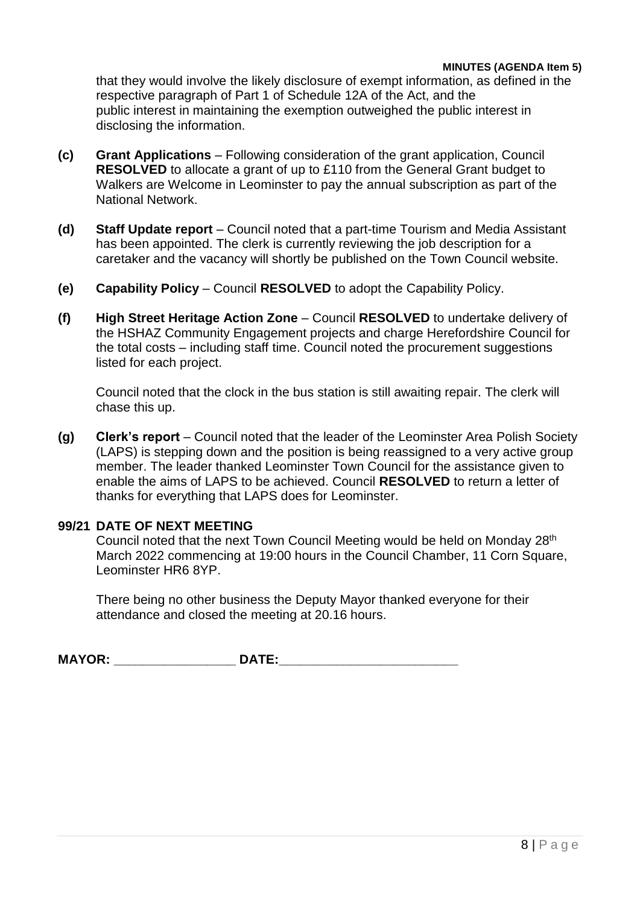#### **MINUTES (AGENDA Item 5)**

that they would involve the likely disclosure of exempt information, as defined in the respective paragraph of Part 1 of Schedule 12A of the Act, and the public interest in maintaining the exemption outweighed the public interest in disclosing the information.

- **(c) Grant Applications**  Following consideration of the grant application, Council **RESOLVED** to allocate a grant of up to £110 from the General Grant budget to Walkers are Welcome in Leominster to pay the annual subscription as part of the National Network.
- **(d) Staff Update report**  Council noted that a part-time Tourism and Media Assistant has been appointed. The clerk is currently reviewing the job description for a caretaker and the vacancy will shortly be published on the Town Council website.
- **(e) Capability Policy**  Council **RESOLVED** to adopt the Capability Policy.
- **(f) High Street Heritage Action Zone** Council **RESOLVED** to undertake delivery of the HSHAZ Community Engagement projects and charge Herefordshire Council for the total costs – including staff time. Council noted the procurement suggestions listed for each project.

Council noted that the clock in the bus station is still awaiting repair. The clerk will chase this up.

**(g) Clerk's report** – Council noted that the leader of the Leominster Area Polish Society (LAPS) is stepping down and the position is being reassigned to a very active group member. The leader thanked Leominster Town Council for the assistance given to enable the aims of LAPS to be achieved. Council **RESOLVED** to return a letter of thanks for everything that LAPS does for Leominster.

#### **99/21 DATE OF NEXT MEETING**

Council noted that the next Town Council Meeting would be held on Monday 28th March 2022 commencing at 19:00 hours in the Council Chamber, 11 Corn Square, Leominster HR6 8YP.

There being no other business the Deputy Mayor thanked everyone for their attendance and closed the meeting at 20.16 hours.

**MAYOR: \_\_\_\_\_\_\_\_\_\_\_\_\_\_\_\_\_ DATE:\_\_\_\_\_\_\_\_\_\_\_\_\_\_\_\_\_\_\_\_\_\_\_\_\_**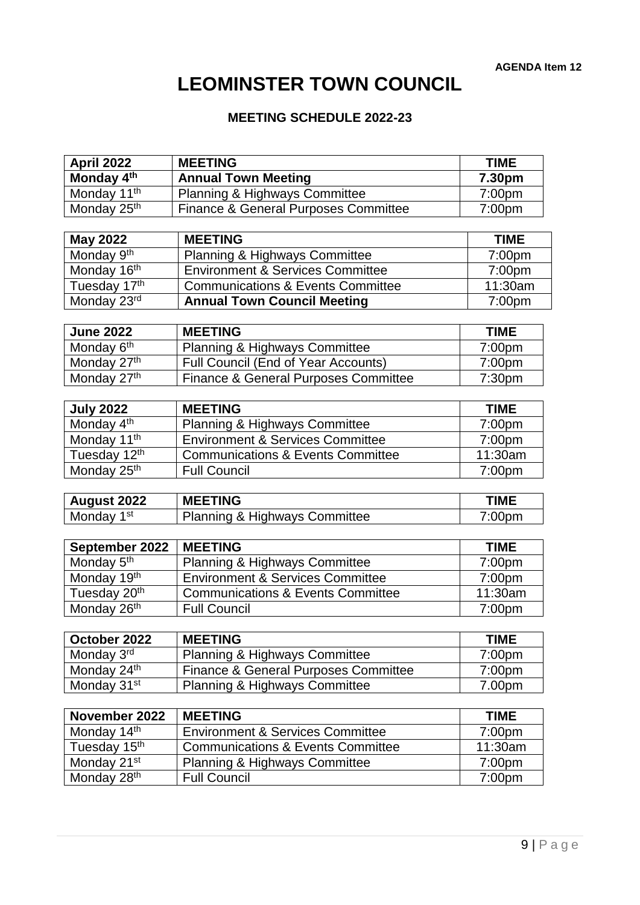# **LEOMINSTER TOWN COUNCIL**

# **MEETING SCHEDULE 2022-23**

| Monday 4th<br><b>Annual Town Meeting</b><br>7.30pm<br>Monday 11 <sup>th</sup><br>Planning & Highways Committee<br>7:00pm<br>Monday 25 <sup>th</sup><br><b>Finance &amp; General Purposes Committee</b><br>7:00pm<br><b>MEETING</b><br><b>May 2022</b><br><b>TIME</b><br>Monday 9 <sup>th</sup><br><b>Planning &amp; Highways Committee</b><br>7:00pm<br>Monday 16 <sup>th</sup><br><b>Environment &amp; Services Committee</b><br>7:00pm<br>Tuesday 17th<br>11:30am<br><b>Communications &amp; Events Committee</b><br>Monday 23rd<br><b>Annual Town Council Meeting</b><br>7:00 <sub>pm</sub><br><b>MEETING</b><br><b>June 2022</b><br><b>TIME</b><br>Monday 6 <sup>th</sup><br><b>Planning &amp; Highways Committee</b><br>7:00pm<br>Monday 27th<br>Full Council (End of Year Accounts)<br>7:00pm<br>Monday 27th<br>Finance & General Purposes Committee<br>7:30 <sub>pm</sub><br><b>July 2022</b><br><b>MEETING</b><br><b>TIME</b><br>Monday 4 <sup>th</sup><br><b>Planning &amp; Highways Committee</b><br>7:00pm<br>Monday 11 <sup>th</sup><br><b>Environment &amp; Services Committee</b><br>7:00pm<br>Tuesday 12th<br><b>Communications &amp; Events Committee</b><br>11:30am<br>Monday 25 <sup>th</sup><br><b>Full Council</b><br>7:00 <sub>pm</sub><br><b>TIME</b><br><b>MEETING</b><br><b>August 2022</b><br>Monday 1 <sup>st</sup><br>Planning & Highways Committee<br>7:00pm<br>September 2022<br><b>MEETING</b><br><b>TIME</b><br>Monday 5 <sup>th</sup><br>Planning & Highways Committee<br>7:00pm<br>Monday 19th<br><b>Environment &amp; Services Committee</b><br>7:00pm<br>Tuesday 20th<br>11:30am<br><b>Communications &amp; Events Committee</b><br>Monday 26 <sup>th</sup><br><b>Full Council</b><br>7:00pm<br>October 2022<br><b>MEETING</b><br><b>TIME</b><br>Monday 3rd<br><b>Planning &amp; Highways Committee</b><br>7:00pm<br>Monday 24 <sup>th</sup><br><b>Finance &amp; General Purposes Committee</b><br>7:00 <sub>pm</sub><br>Monday 31 <sup>st</sup><br>Planning & Highways Committee<br>7.00pm<br>November 2022<br><b>TIME</b><br><b>MEETING</b><br>Monday 14th<br><b>Environment &amp; Services Committee</b><br>7:00 <sub>pm</sub><br>Tuesday 15th<br><b>Communications &amp; Events Committee</b><br>11:30am | April 2022 | <b>MEETING</b> | <b>TIME</b> |
|-------------------------------------------------------------------------------------------------------------------------------------------------------------------------------------------------------------------------------------------------------------------------------------------------------------------------------------------------------------------------------------------------------------------------------------------------------------------------------------------------------------------------------------------------------------------------------------------------------------------------------------------------------------------------------------------------------------------------------------------------------------------------------------------------------------------------------------------------------------------------------------------------------------------------------------------------------------------------------------------------------------------------------------------------------------------------------------------------------------------------------------------------------------------------------------------------------------------------------------------------------------------------------------------------------------------------------------------------------------------------------------------------------------------------------------------------------------------------------------------------------------------------------------------------------------------------------------------------------------------------------------------------------------------------------------------------------------------------------------------------------------------------------------------------------------------------------------------------------------------------------------------------------------------------------------------------------------------------------------------------------------------------------------------------------------------------------------------------------------------------------------------------------------------------------------------------------------------------------------------------|------------|----------------|-------------|
|                                                                                                                                                                                                                                                                                                                                                                                                                                                                                                                                                                                                                                                                                                                                                                                                                                                                                                                                                                                                                                                                                                                                                                                                                                                                                                                                                                                                                                                                                                                                                                                                                                                                                                                                                                                                                                                                                                                                                                                                                                                                                                                                                                                                                                                 |            |                |             |
|                                                                                                                                                                                                                                                                                                                                                                                                                                                                                                                                                                                                                                                                                                                                                                                                                                                                                                                                                                                                                                                                                                                                                                                                                                                                                                                                                                                                                                                                                                                                                                                                                                                                                                                                                                                                                                                                                                                                                                                                                                                                                                                                                                                                                                                 |            |                |             |
|                                                                                                                                                                                                                                                                                                                                                                                                                                                                                                                                                                                                                                                                                                                                                                                                                                                                                                                                                                                                                                                                                                                                                                                                                                                                                                                                                                                                                                                                                                                                                                                                                                                                                                                                                                                                                                                                                                                                                                                                                                                                                                                                                                                                                                                 |            |                |             |
|                                                                                                                                                                                                                                                                                                                                                                                                                                                                                                                                                                                                                                                                                                                                                                                                                                                                                                                                                                                                                                                                                                                                                                                                                                                                                                                                                                                                                                                                                                                                                                                                                                                                                                                                                                                                                                                                                                                                                                                                                                                                                                                                                                                                                                                 |            |                |             |
|                                                                                                                                                                                                                                                                                                                                                                                                                                                                                                                                                                                                                                                                                                                                                                                                                                                                                                                                                                                                                                                                                                                                                                                                                                                                                                                                                                                                                                                                                                                                                                                                                                                                                                                                                                                                                                                                                                                                                                                                                                                                                                                                                                                                                                                 |            |                |             |
|                                                                                                                                                                                                                                                                                                                                                                                                                                                                                                                                                                                                                                                                                                                                                                                                                                                                                                                                                                                                                                                                                                                                                                                                                                                                                                                                                                                                                                                                                                                                                                                                                                                                                                                                                                                                                                                                                                                                                                                                                                                                                                                                                                                                                                                 |            |                |             |
|                                                                                                                                                                                                                                                                                                                                                                                                                                                                                                                                                                                                                                                                                                                                                                                                                                                                                                                                                                                                                                                                                                                                                                                                                                                                                                                                                                                                                                                                                                                                                                                                                                                                                                                                                                                                                                                                                                                                                                                                                                                                                                                                                                                                                                                 |            |                |             |
|                                                                                                                                                                                                                                                                                                                                                                                                                                                                                                                                                                                                                                                                                                                                                                                                                                                                                                                                                                                                                                                                                                                                                                                                                                                                                                                                                                                                                                                                                                                                                                                                                                                                                                                                                                                                                                                                                                                                                                                                                                                                                                                                                                                                                                                 |            |                |             |
|                                                                                                                                                                                                                                                                                                                                                                                                                                                                                                                                                                                                                                                                                                                                                                                                                                                                                                                                                                                                                                                                                                                                                                                                                                                                                                                                                                                                                                                                                                                                                                                                                                                                                                                                                                                                                                                                                                                                                                                                                                                                                                                                                                                                                                                 |            |                |             |
|                                                                                                                                                                                                                                                                                                                                                                                                                                                                                                                                                                                                                                                                                                                                                                                                                                                                                                                                                                                                                                                                                                                                                                                                                                                                                                                                                                                                                                                                                                                                                                                                                                                                                                                                                                                                                                                                                                                                                                                                                                                                                                                                                                                                                                                 |            |                |             |
|                                                                                                                                                                                                                                                                                                                                                                                                                                                                                                                                                                                                                                                                                                                                                                                                                                                                                                                                                                                                                                                                                                                                                                                                                                                                                                                                                                                                                                                                                                                                                                                                                                                                                                                                                                                                                                                                                                                                                                                                                                                                                                                                                                                                                                                 |            |                |             |
|                                                                                                                                                                                                                                                                                                                                                                                                                                                                                                                                                                                                                                                                                                                                                                                                                                                                                                                                                                                                                                                                                                                                                                                                                                                                                                                                                                                                                                                                                                                                                                                                                                                                                                                                                                                                                                                                                                                                                                                                                                                                                                                                                                                                                                                 |            |                |             |
|                                                                                                                                                                                                                                                                                                                                                                                                                                                                                                                                                                                                                                                                                                                                                                                                                                                                                                                                                                                                                                                                                                                                                                                                                                                                                                                                                                                                                                                                                                                                                                                                                                                                                                                                                                                                                                                                                                                                                                                                                                                                                                                                                                                                                                                 |            |                |             |
|                                                                                                                                                                                                                                                                                                                                                                                                                                                                                                                                                                                                                                                                                                                                                                                                                                                                                                                                                                                                                                                                                                                                                                                                                                                                                                                                                                                                                                                                                                                                                                                                                                                                                                                                                                                                                                                                                                                                                                                                                                                                                                                                                                                                                                                 |            |                |             |
|                                                                                                                                                                                                                                                                                                                                                                                                                                                                                                                                                                                                                                                                                                                                                                                                                                                                                                                                                                                                                                                                                                                                                                                                                                                                                                                                                                                                                                                                                                                                                                                                                                                                                                                                                                                                                                                                                                                                                                                                                                                                                                                                                                                                                                                 |            |                |             |
|                                                                                                                                                                                                                                                                                                                                                                                                                                                                                                                                                                                                                                                                                                                                                                                                                                                                                                                                                                                                                                                                                                                                                                                                                                                                                                                                                                                                                                                                                                                                                                                                                                                                                                                                                                                                                                                                                                                                                                                                                                                                                                                                                                                                                                                 |            |                |             |
|                                                                                                                                                                                                                                                                                                                                                                                                                                                                                                                                                                                                                                                                                                                                                                                                                                                                                                                                                                                                                                                                                                                                                                                                                                                                                                                                                                                                                                                                                                                                                                                                                                                                                                                                                                                                                                                                                                                                                                                                                                                                                                                                                                                                                                                 |            |                |             |
|                                                                                                                                                                                                                                                                                                                                                                                                                                                                                                                                                                                                                                                                                                                                                                                                                                                                                                                                                                                                                                                                                                                                                                                                                                                                                                                                                                                                                                                                                                                                                                                                                                                                                                                                                                                                                                                                                                                                                                                                                                                                                                                                                                                                                                                 |            |                |             |
|                                                                                                                                                                                                                                                                                                                                                                                                                                                                                                                                                                                                                                                                                                                                                                                                                                                                                                                                                                                                                                                                                                                                                                                                                                                                                                                                                                                                                                                                                                                                                                                                                                                                                                                                                                                                                                                                                                                                                                                                                                                                                                                                                                                                                                                 |            |                |             |
|                                                                                                                                                                                                                                                                                                                                                                                                                                                                                                                                                                                                                                                                                                                                                                                                                                                                                                                                                                                                                                                                                                                                                                                                                                                                                                                                                                                                                                                                                                                                                                                                                                                                                                                                                                                                                                                                                                                                                                                                                                                                                                                                                                                                                                                 |            |                |             |
|                                                                                                                                                                                                                                                                                                                                                                                                                                                                                                                                                                                                                                                                                                                                                                                                                                                                                                                                                                                                                                                                                                                                                                                                                                                                                                                                                                                                                                                                                                                                                                                                                                                                                                                                                                                                                                                                                                                                                                                                                                                                                                                                                                                                                                                 |            |                |             |
|                                                                                                                                                                                                                                                                                                                                                                                                                                                                                                                                                                                                                                                                                                                                                                                                                                                                                                                                                                                                                                                                                                                                                                                                                                                                                                                                                                                                                                                                                                                                                                                                                                                                                                                                                                                                                                                                                                                                                                                                                                                                                                                                                                                                                                                 |            |                |             |
|                                                                                                                                                                                                                                                                                                                                                                                                                                                                                                                                                                                                                                                                                                                                                                                                                                                                                                                                                                                                                                                                                                                                                                                                                                                                                                                                                                                                                                                                                                                                                                                                                                                                                                                                                                                                                                                                                                                                                                                                                                                                                                                                                                                                                                                 |            |                |             |
|                                                                                                                                                                                                                                                                                                                                                                                                                                                                                                                                                                                                                                                                                                                                                                                                                                                                                                                                                                                                                                                                                                                                                                                                                                                                                                                                                                                                                                                                                                                                                                                                                                                                                                                                                                                                                                                                                                                                                                                                                                                                                                                                                                                                                                                 |            |                |             |
|                                                                                                                                                                                                                                                                                                                                                                                                                                                                                                                                                                                                                                                                                                                                                                                                                                                                                                                                                                                                                                                                                                                                                                                                                                                                                                                                                                                                                                                                                                                                                                                                                                                                                                                                                                                                                                                                                                                                                                                                                                                                                                                                                                                                                                                 |            |                |             |
|                                                                                                                                                                                                                                                                                                                                                                                                                                                                                                                                                                                                                                                                                                                                                                                                                                                                                                                                                                                                                                                                                                                                                                                                                                                                                                                                                                                                                                                                                                                                                                                                                                                                                                                                                                                                                                                                                                                                                                                                                                                                                                                                                                                                                                                 |            |                |             |
|                                                                                                                                                                                                                                                                                                                                                                                                                                                                                                                                                                                                                                                                                                                                                                                                                                                                                                                                                                                                                                                                                                                                                                                                                                                                                                                                                                                                                                                                                                                                                                                                                                                                                                                                                                                                                                                                                                                                                                                                                                                                                                                                                                                                                                                 |            |                |             |
|                                                                                                                                                                                                                                                                                                                                                                                                                                                                                                                                                                                                                                                                                                                                                                                                                                                                                                                                                                                                                                                                                                                                                                                                                                                                                                                                                                                                                                                                                                                                                                                                                                                                                                                                                                                                                                                                                                                                                                                                                                                                                                                                                                                                                                                 |            |                |             |
|                                                                                                                                                                                                                                                                                                                                                                                                                                                                                                                                                                                                                                                                                                                                                                                                                                                                                                                                                                                                                                                                                                                                                                                                                                                                                                                                                                                                                                                                                                                                                                                                                                                                                                                                                                                                                                                                                                                                                                                                                                                                                                                                                                                                                                                 |            |                |             |
|                                                                                                                                                                                                                                                                                                                                                                                                                                                                                                                                                                                                                                                                                                                                                                                                                                                                                                                                                                                                                                                                                                                                                                                                                                                                                                                                                                                                                                                                                                                                                                                                                                                                                                                                                                                                                                                                                                                                                                                                                                                                                                                                                                                                                                                 |            |                |             |
|                                                                                                                                                                                                                                                                                                                                                                                                                                                                                                                                                                                                                                                                                                                                                                                                                                                                                                                                                                                                                                                                                                                                                                                                                                                                                                                                                                                                                                                                                                                                                                                                                                                                                                                                                                                                                                                                                                                                                                                                                                                                                                                                                                                                                                                 |            |                |             |
|                                                                                                                                                                                                                                                                                                                                                                                                                                                                                                                                                                                                                                                                                                                                                                                                                                                                                                                                                                                                                                                                                                                                                                                                                                                                                                                                                                                                                                                                                                                                                                                                                                                                                                                                                                                                                                                                                                                                                                                                                                                                                                                                                                                                                                                 |            |                |             |
|                                                                                                                                                                                                                                                                                                                                                                                                                                                                                                                                                                                                                                                                                                                                                                                                                                                                                                                                                                                                                                                                                                                                                                                                                                                                                                                                                                                                                                                                                                                                                                                                                                                                                                                                                                                                                                                                                                                                                                                                                                                                                                                                                                                                                                                 |            |                |             |
|                                                                                                                                                                                                                                                                                                                                                                                                                                                                                                                                                                                                                                                                                                                                                                                                                                                                                                                                                                                                                                                                                                                                                                                                                                                                                                                                                                                                                                                                                                                                                                                                                                                                                                                                                                                                                                                                                                                                                                                                                                                                                                                                                                                                                                                 |            |                |             |
|                                                                                                                                                                                                                                                                                                                                                                                                                                                                                                                                                                                                                                                                                                                                                                                                                                                                                                                                                                                                                                                                                                                                                                                                                                                                                                                                                                                                                                                                                                                                                                                                                                                                                                                                                                                                                                                                                                                                                                                                                                                                                                                                                                                                                                                 |            |                |             |
|                                                                                                                                                                                                                                                                                                                                                                                                                                                                                                                                                                                                                                                                                                                                                                                                                                                                                                                                                                                                                                                                                                                                                                                                                                                                                                                                                                                                                                                                                                                                                                                                                                                                                                                                                                                                                                                                                                                                                                                                                                                                                                                                                                                                                                                 |            |                |             |
|                                                                                                                                                                                                                                                                                                                                                                                                                                                                                                                                                                                                                                                                                                                                                                                                                                                                                                                                                                                                                                                                                                                                                                                                                                                                                                                                                                                                                                                                                                                                                                                                                                                                                                                                                                                                                                                                                                                                                                                                                                                                                                                                                                                                                                                 |            |                |             |
| Monday 21 <sup>st</sup><br>Planning & Highways Committee<br>7:00pm                                                                                                                                                                                                                                                                                                                                                                                                                                                                                                                                                                                                                                                                                                                                                                                                                                                                                                                                                                                                                                                                                                                                                                                                                                                                                                                                                                                                                                                                                                                                                                                                                                                                                                                                                                                                                                                                                                                                                                                                                                                                                                                                                                              |            |                |             |
| Monday 28 <sup>th</sup><br><b>Full Council</b><br>7:00pm                                                                                                                                                                                                                                                                                                                                                                                                                                                                                                                                                                                                                                                                                                                                                                                                                                                                                                                                                                                                                                                                                                                                                                                                                                                                                                                                                                                                                                                                                                                                                                                                                                                                                                                                                                                                                                                                                                                                                                                                                                                                                                                                                                                        |            |                |             |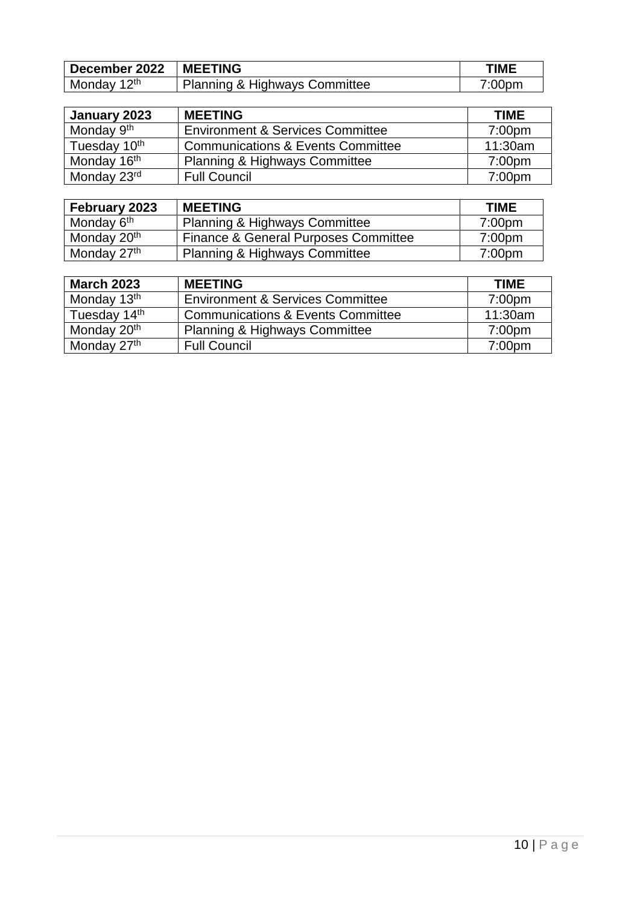| December 2022   MEETING |                               | <b>TIME</b>        |
|-------------------------|-------------------------------|--------------------|
| Monday 12 <sup>th</sup> | Planning & Highways Committee | 7:00 <sub>pm</sub> |

| January 2023             | <b>MEETING</b>                               | <b>TIME</b>        |
|--------------------------|----------------------------------------------|--------------------|
| Monday 9 <sup>th</sup>   | <b>Environment &amp; Services Committee</b>  | 7:00 <sub>pm</sub> |
| Tuesday 10 <sup>th</sup> | <b>Communications &amp; Events Committee</b> | 11:30am            |
| Monday 16 <sup>th</sup>  | <b>Planning &amp; Highways Committee</b>     | 7:00 <sub>pm</sub> |
| Monday 23rd              | <b>Full Council</b>                          | 7:00 <sub>pm</sub> |

| February 2023           | <b>MEETING</b>                           | <b>TIME</b>        |
|-------------------------|------------------------------------------|--------------------|
| Monday 6 <sup>th</sup>  | <b>Planning &amp; Highways Committee</b> | 7:00 <sub>pm</sub> |
| Monday 20 <sup>th</sup> | Finance & General Purposes Committee     | 7:00 <sub>pm</sub> |
| Monday 27 <sup>th</sup> | <b>Planning &amp; Highways Committee</b> | 7:00 <sub>pm</sub> |

| <b>March 2023</b>       | <b>MEETING</b>                               | <b>TIME</b>        |
|-------------------------|----------------------------------------------|--------------------|
| Monday 13 <sup>th</sup> | <b>Environment &amp; Services Committee</b>  | 7:00 <sub>pm</sub> |
| Tuesday 14th            | <b>Communications &amp; Events Committee</b> | 11:30am            |
| Monday 20 <sup>th</sup> | <b>Planning &amp; Highways Committee</b>     | 7:00 <sub>pm</sub> |
| Monday 27 <sup>th</sup> | <b>Full Council</b>                          | 7:00 <sub>pm</sub> |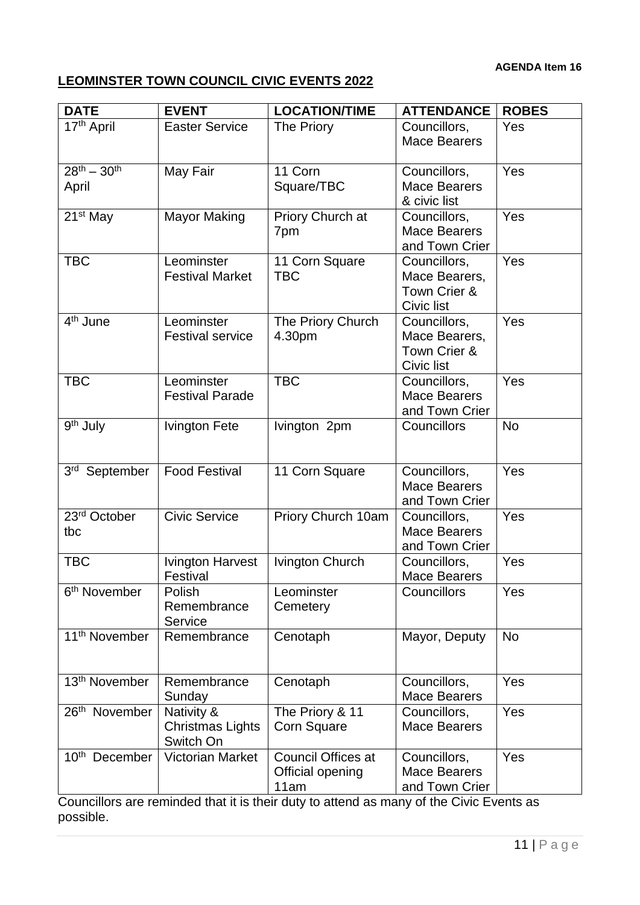# **LEOMINSTER TOWN COUNCIL CIVIC EVENTS 2022**

| <b>DATE</b>                             | <b>EVENT</b>                                       | <b>LOCATION/TIME</b>                           | <b>ATTENDANCE</b>                                           | <b>ROBES</b> |
|-----------------------------------------|----------------------------------------------------|------------------------------------------------|-------------------------------------------------------------|--------------|
| 17th April                              | <b>Easter Service</b>                              | The Priory                                     | Councillors,<br><b>Mace Bearers</b>                         | Yes          |
| $\overline{28^{th} - 30^{th}}$<br>April | May Fair                                           | 11 Corn<br>Square/TBC                          | Councillors,<br><b>Mace Bearers</b><br>& civic list         | Yes          |
| 21 <sup>st</sup> May                    | <b>Mayor Making</b>                                | Priory Church at<br>7pm                        | Councillors,<br><b>Mace Bearers</b><br>and Town Crier       | Yes          |
| <b>TBC</b>                              | Leominster<br><b>Festival Market</b>               | 11 Corn Square<br><b>TBC</b>                   | Councillors,<br>Mace Bearers,<br>Town Crier &<br>Civic list | Yes          |
| 4 <sup>th</sup> June                    | Leominster<br><b>Festival service</b>              | The Priory Church<br>4.30pm                    | Councillors,<br>Mace Bearers,<br>Town Crier &<br>Civic list | Yes          |
| <b>TBC</b>                              | Leominster<br><b>Festival Parade</b>               | <b>TBC</b>                                     | Councillors,<br><b>Mace Bearers</b><br>and Town Crier       | Yes          |
| 9 <sup>th</sup> July                    | <b>Ivington Fete</b>                               | Ivington 2pm                                   | Councillors                                                 | <b>No</b>    |
| 3rd September                           | <b>Food Festival</b>                               | 11 Corn Square                                 | Councillors,<br><b>Mace Bearers</b><br>and Town Crier       | Yes          |
| 23rd October<br>tbc                     | <b>Civic Service</b>                               | Priory Church 10am                             | Councillors,<br><b>Mace Bearers</b><br>and Town Crier       | Yes          |
| <b>TBC</b>                              | <b>Ivington Harvest</b><br>Festival                | Ivington Church                                | Councillors,<br><b>Mace Bearers</b>                         | Yes          |
| 6 <sup>th</sup> November                | Polish<br>Remembrance<br>Service                   | Leominster<br>Cemetery                         | Councillors                                                 | Yes          |
| 11 <sup>th</sup> November               | Remembrance                                        | Cenotaph                                       | Mayor, Deputy                                               | <b>No</b>    |
| 13 <sup>th</sup> November               | Remembrance<br>Sunday                              | Cenotaph                                       | Councillors,<br><b>Mace Bearers</b>                         | Yes          |
| 26 <sup>th</sup> November               | Nativity &<br><b>Christmas Lights</b><br>Switch On | The Priory & 11<br><b>Corn Square</b>          | Councillors,<br><b>Mace Bearers</b>                         | Yes          |
| 10 <sup>th</sup> December               | <b>Victorian Market</b>                            | Council Offices at<br>Official opening<br>11am | Councillors,<br><b>Mace Bearers</b><br>and Town Crier       | Yes          |

Councillors are reminded that it is their duty to attend as many of the Civic Events as possible.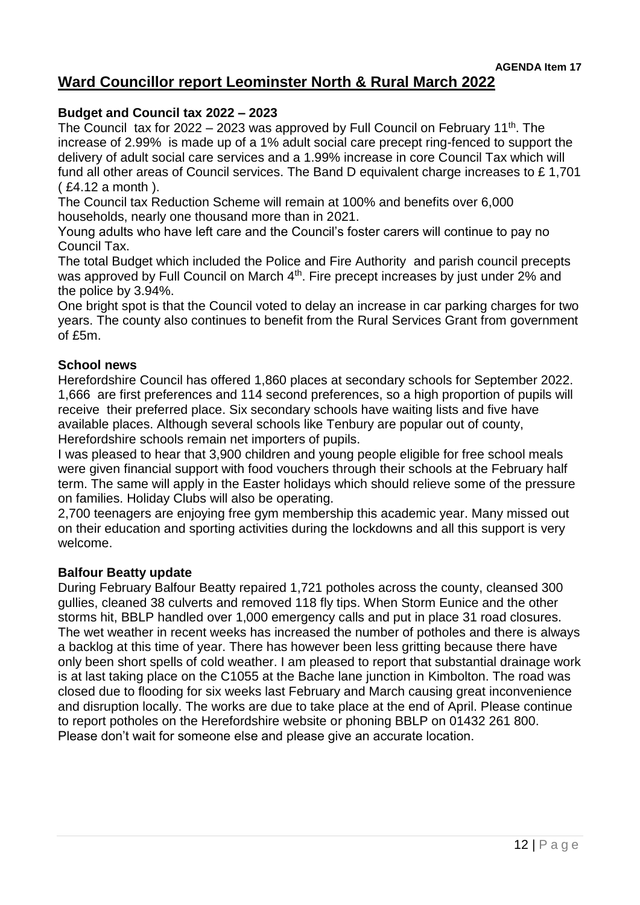# **Ward Councillor report Leominster North & Rural March 2022**

## **Budget and Council tax 2022 – 2023**

The Council tax for 2022 – 2023 was approved by Full Council on February 11<sup>th</sup>. The increase of 2.99% is made up of a 1% adult social care precept ring-fenced to support the delivery of adult social care services and a 1.99% increase in core Council Tax which will fund all other areas of Council services. The Band D equivalent charge increases to £ 1,701 ( £4.12 a month ).

The Council tax Reduction Scheme will remain at 100% and benefits over 6,000 households, nearly one thousand more than in 2021.

Young adults who have left care and the Council's foster carers will continue to pay no Council Tax.

The total Budget which included the Police and Fire Authority and parish council precepts was approved by Full Council on March 4<sup>th</sup>. Fire precept increases by just under 2% and the police by 3.94%.

One bright spot is that the Council voted to delay an increase in car parking charges for two years. The county also continues to benefit from the Rural Services Grant from government of £5m.

#### **School news**

Herefordshire Council has offered 1,860 places at secondary schools for September 2022. 1,666 are first preferences and 114 second preferences, so a high proportion of pupils will receive their preferred place. Six secondary schools have waiting lists and five have available places. Although several schools like Tenbury are popular out of county, Herefordshire schools remain net importers of pupils.

I was pleased to hear that 3,900 children and young people eligible for free school meals were given financial support with food vouchers through their schools at the February half term. The same will apply in the Easter holidays which should relieve some of the pressure on families. Holiday Clubs will also be operating.

2,700 teenagers are enjoying free gym membership this academic year. Many missed out on their education and sporting activities during the lockdowns and all this support is very welcome.

#### **Balfour Beatty update**

During February Balfour Beatty repaired 1,721 potholes across the county, cleansed 300 gullies, cleaned 38 culverts and removed 118 fly tips. When Storm Eunice and the other storms hit, BBLP handled over 1,000 emergency calls and put in place 31 road closures. The wet weather in recent weeks has increased the number of potholes and there is always a backlog at this time of year. There has however been less gritting because there have only been short spells of cold weather. I am pleased to report that substantial drainage work is at last taking place on the C1055 at the Bache lane junction in Kimbolton. The road was closed due to flooding for six weeks last February and March causing great inconvenience and disruption locally. The works are due to take place at the end of April. Please continue to report potholes on the Herefordshire website or phoning BBLP on 01432 261 800. Please don't wait for someone else and please give an accurate location.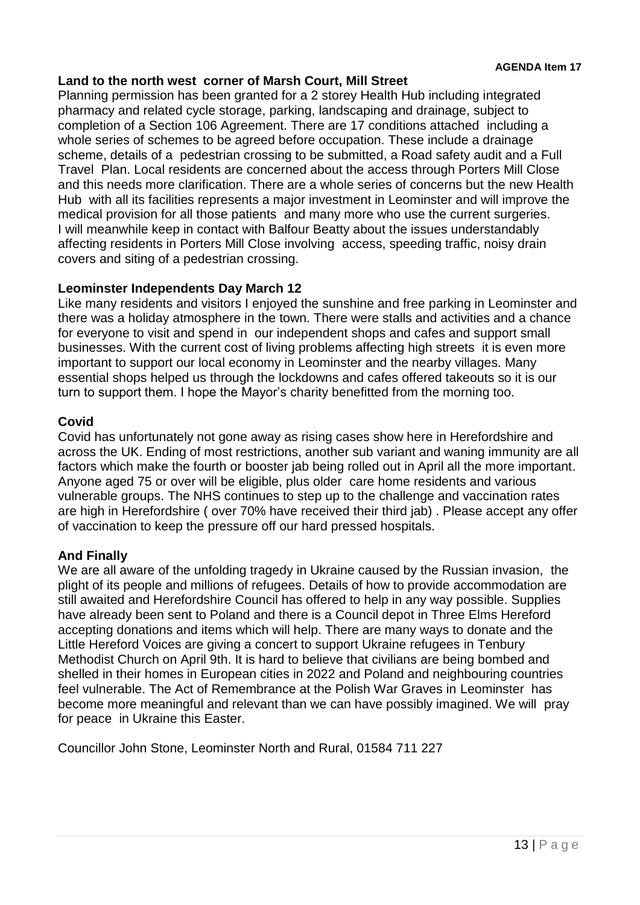## **Land to the north west corner of Marsh Court, Mill Street**

Planning permission has been granted for a 2 storey Health Hub including integrated pharmacy and related cycle storage, parking, landscaping and drainage, subject to completion of a Section 106 Agreement. There are 17 conditions attached including a whole series of schemes to be agreed before occupation. These include a drainage scheme, details of a pedestrian crossing to be submitted, a Road safety audit and a Full Travel Plan. Local residents are concerned about the access through Porters Mill Close and this needs more clarification. There are a whole series of concerns but the new Health Hub with all its facilities represents a major investment in Leominster and will improve the medical provision for all those patients and many more who use the current surgeries. I will meanwhile keep in contact with Balfour Beatty about the issues understandably affecting residents in Porters Mill Close involving access, speeding traffic, noisy drain covers and siting of a pedestrian crossing.

# **Leominster Independents Day March 12**

Like many residents and visitors I enjoyed the sunshine and free parking in Leominster and there was a holiday atmosphere in the town. There were stalls and activities and a chance for everyone to visit and spend in our independent shops and cafes and support small businesses. With the current cost of living problems affecting high streets it is even more important to support our local economy in Leominster and the nearby villages. Many essential shops helped us through the lockdowns and cafes offered takeouts so it is our turn to support them. I hope the Mayor's charity benefitted from the morning too.

# **Covid**

Covid has unfortunately not gone away as rising cases show here in Herefordshire and across the UK. Ending of most restrictions, another sub variant and waning immunity are all factors which make the fourth or booster jab being rolled out in April all the more important. Anyone aged 75 or over will be eligible, plus older care home residents and various vulnerable groups. The NHS continues to step up to the challenge and vaccination rates are high in Herefordshire ( over 70% have received their third jab) . Please accept any offer of vaccination to keep the pressure off our hard pressed hospitals.

# **And Finally**

We are all aware of the unfolding tragedy in Ukraine caused by the Russian invasion, the plight of its people and millions of refugees. Details of how to provide accommodation are still awaited and Herefordshire Council has offered to help in any way possible. Supplies have already been sent to Poland and there is a Council depot in Three Elms Hereford accepting donations and items which will help. There are many ways to donate and the Little Hereford Voices are giving a concert to support Ukraine refugees in Tenbury Methodist Church on April 9th. It is hard to believe that civilians are being bombed and shelled in their homes in European cities in 2022 and Poland and neighbouring countries feel vulnerable. The Act of Remembrance at the Polish War Graves in Leominster has become more meaningful and relevant than we can have possibly imagined. We will pray for peace in Ukraine this Easter.

Councillor John Stone, Leominster North and Rural, 01584 711 227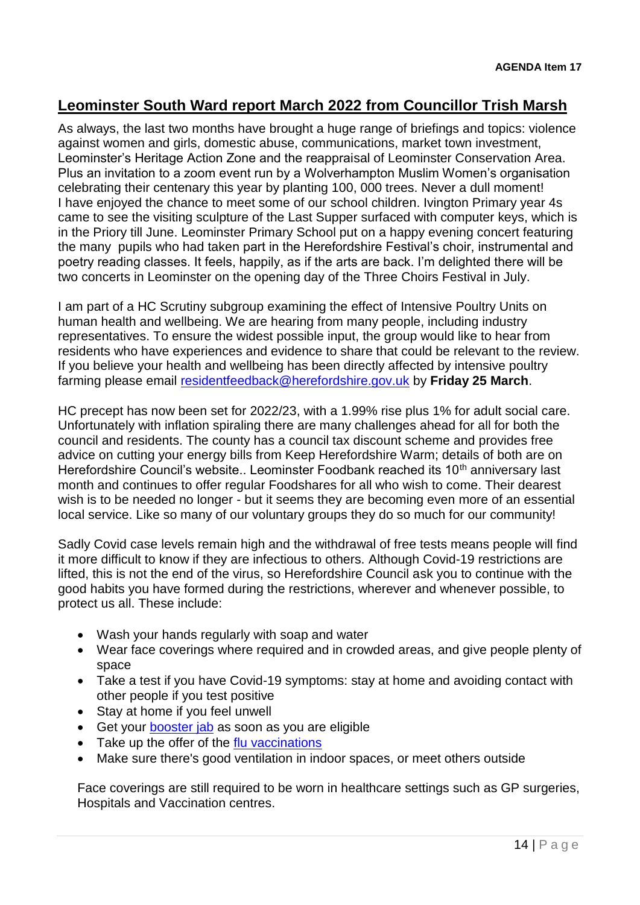# **Leominster South Ward report March 2022 from Councillor Trish Marsh**

As always, the last two months have brought a huge range of briefings and topics: violence against women and girls, domestic abuse, communications, market town investment, Leominster's Heritage Action Zone and the reappraisal of Leominster Conservation Area. Plus an invitation to a zoom event run by a Wolverhampton Muslim Women's organisation celebrating their centenary this year by planting 100, 000 trees. Never a dull moment! I have enjoyed the chance to meet some of our school children. Ivington Primary year 4s came to see the visiting sculpture of the Last Supper surfaced with computer keys, which is in the Priory till June. Leominster Primary School put on a happy evening concert featuring the many pupils who had taken part in the Herefordshire Festival's choir, instrumental and poetry reading classes. It feels, happily, as if the arts are back. I'm delighted there will be two concerts in Leominster on the opening day of the Three Choirs Festival in July.

I am part of a HC Scrutiny subgroup examining the effect of Intensive Poultry Units on human health and wellbeing. We are hearing from many people, including industry representatives. To ensure the widest possible input, the group would like to hear from residents who have experiences and evidence to share that could be relevant to the review. If you believe your health and wellbeing has been directly affected by intensive poultry farming please email [residentfeedback@herefordshire.gov.uk](mailto:residentfeedback@herefordshire.gov.uk) by **Friday 25 March**.

HC precept has now been set for 2022/23, with a 1.99% rise plus 1% for adult social care. Unfortunately with inflation spiraling there are many challenges ahead for all for both the council and residents. The county has a council tax discount scheme and provides free advice on cutting your energy bills from Keep Herefordshire Warm; details of both are on Herefordshire Council's website.. Leominster Foodbank reached its 10<sup>th</sup> anniversary last month and continues to offer regular Foodshares for all who wish to come. Their dearest wish is to be needed no longer - but it seems they are becoming even more of an essential local service. Like so many of our voluntary groups they do so much for our community!

Sadly Covid case levels remain high and the withdrawal of free tests means people will find it more difficult to know if they are infectious to others. Although Covid-19 restrictions are lifted, this is not the end of the virus, so Herefordshire Council ask you to continue with the good habits you have formed during the restrictions, wherever and whenever possible, to protect us all. These include:

- Wash your hands regularly with soap and water
- Wear face coverings where required and in crowded areas, and give people plenty of space
- Take a test if you have Covid-19 symptoms: stay at home and avoiding contact with other people if you test positive
- Stay at home if you feel unwell
- Get your [booster jab](https://www.herefordshire.gov.uk/playyourpart#Booster jab) as soon as you are eligible
- Take up the offer of the [flu vaccinations](https://www.herefordshire.gov.uk/playyourpart#Flu vaccine)
- Make sure there's good ventilation in indoor spaces, or meet others outside

Face coverings are still required to be worn in healthcare settings such as GP surgeries, Hospitals and Vaccination centres.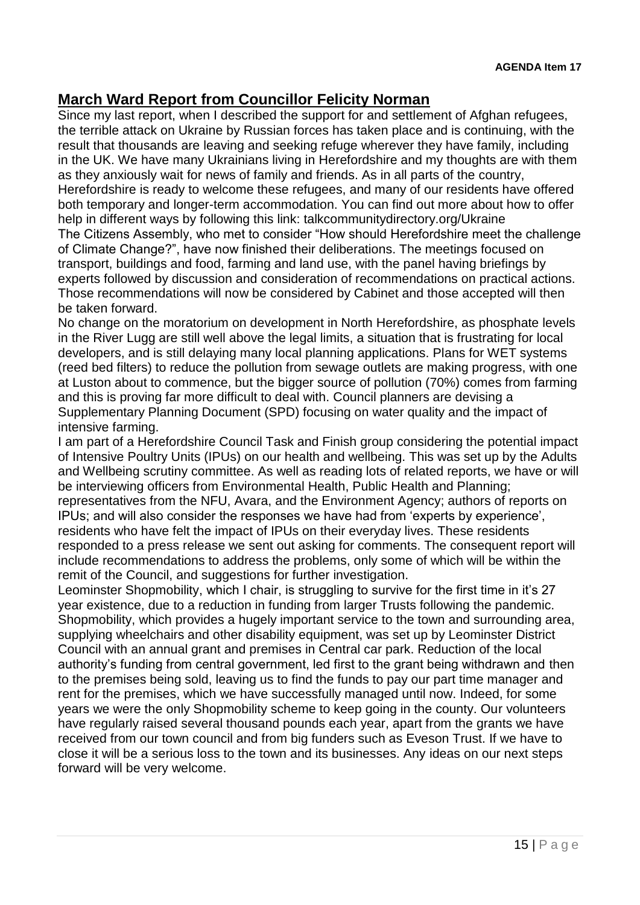# **March Ward Report from Councillor Felicity Norman**

Since my last report, when I described the support for and settlement of Afghan refugees, the terrible attack on Ukraine by Russian forces has taken place and is continuing, with the result that thousands are leaving and seeking refuge wherever they have family, including in the UK. We have many Ukrainians living in Herefordshire and my thoughts are with them as they anxiously wait for news of family and friends. As in all parts of the country, Herefordshire is ready to welcome these refugees, and many of our residents have offered both temporary and longer-term accommodation. You can find out more about how to offer help in different ways by following this link: talkcommunitydirectory.org/Ukraine The Citizens Assembly, who met to consider "How should Herefordshire meet the challenge of Climate Change?", have now finished their deliberations. The meetings focused on transport, buildings and food, farming and land use, with the panel having briefings by experts followed by discussion and consideration of recommendations on practical actions. Those recommendations will now be considered by Cabinet and those accepted will then be taken forward.

No change on the moratorium on development in North Herefordshire, as phosphate levels in the River Lugg are still well above the legal limits, a situation that is frustrating for local developers, and is still delaying many local planning applications. Plans for WET systems (reed bed filters) to reduce the pollution from sewage outlets are making progress, with one at Luston about to commence, but the bigger source of pollution (70%) comes from farming and this is proving far more difficult to deal with. Council planners are devising a Supplementary Planning Document (SPD) focusing on water quality and the impact of intensive farming.

I am part of a Herefordshire Council Task and Finish group considering the potential impact of Intensive Poultry Units (IPUs) on our health and wellbeing. This was set up by the Adults and Wellbeing scrutiny committee. As well as reading lots of related reports, we have or will be interviewing officers from Environmental Health, Public Health and Planning; representatives from the NFU, Avara, and the Environment Agency; authors of reports on IPUs; and will also consider the responses we have had from 'experts by experience', residents who have felt the impact of IPUs on their everyday lives. These residents responded to a press release we sent out asking for comments. The consequent report will include recommendations to address the problems, only some of which will be within the remit of the Council, and suggestions for further investigation.

Leominster Shopmobility, which I chair, is struggling to survive for the first time in it's 27 year existence, due to a reduction in funding from larger Trusts following the pandemic. Shopmobility, which provides a hugely important service to the town and surrounding area, supplying wheelchairs and other disability equipment, was set up by Leominster District Council with an annual grant and premises in Central car park. Reduction of the local authority's funding from central government, led first to the grant being withdrawn and then to the premises being sold, leaving us to find the funds to pay our part time manager and rent for the premises, which we have successfully managed until now. Indeed, for some years we were the only Shopmobility scheme to keep going in the county. Our volunteers have regularly raised several thousand pounds each year, apart from the grants we have received from our town council and from big funders such as Eveson Trust. If we have to close it will be a serious loss to the town and its businesses. Any ideas on our next steps forward will be very welcome.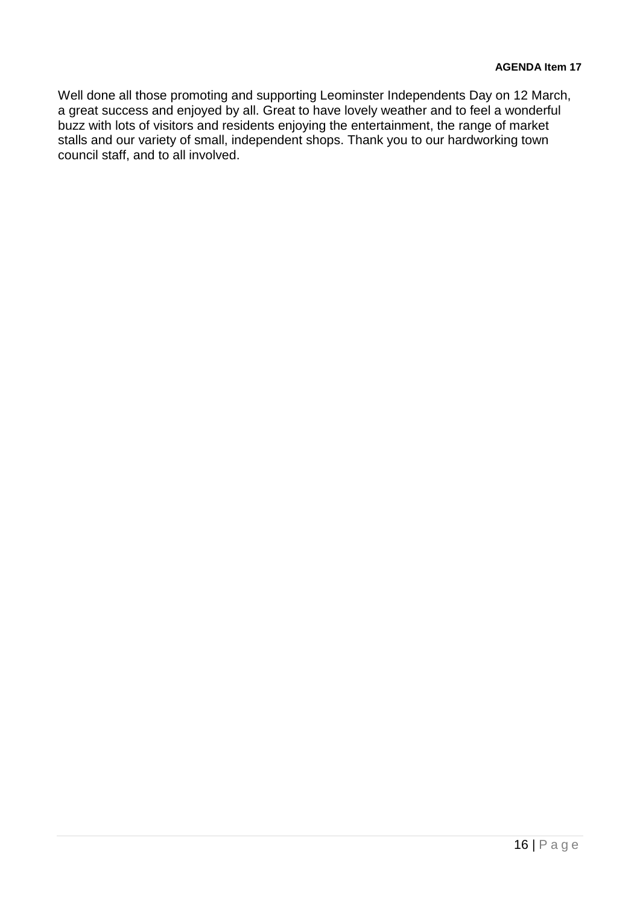Well done all those promoting and supporting Leominster Independents Day on 12 March, a great success and enjoyed by all. Great to have lovely weather and to feel a wonderful buzz with lots of visitors and residents enjoying the entertainment, the range of market stalls and our variety of small, independent shops. Thank you to our hardworking town council staff, and to all involved.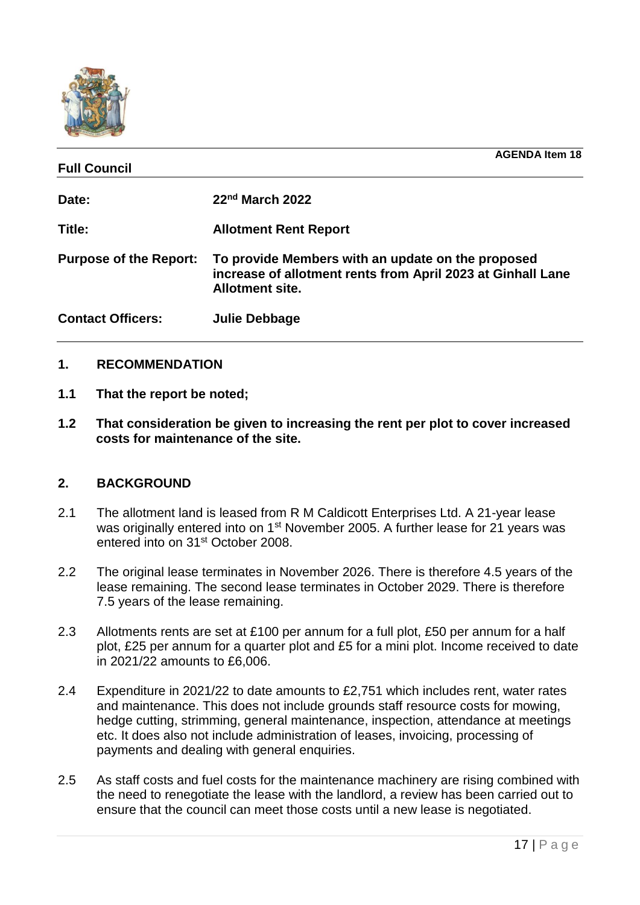

| <b>Full Council</b>           | <b>AGENDA Item 18</b>                                                                                                                      |
|-------------------------------|--------------------------------------------------------------------------------------------------------------------------------------------|
| Date:                         | 22 <sup>nd</sup> March 2022                                                                                                                |
| Title:                        | <b>Allotment Rent Report</b>                                                                                                               |
| <b>Purpose of the Report:</b> | To provide Members with an update on the proposed<br>increase of allotment rents from April 2023 at Ginhall Lane<br><b>Allotment site.</b> |
| <b>Contact Officers:</b>      | <b>Julie Debbage</b>                                                                                                                       |

## **1. RECOMMENDATION**

- **1.1 That the report be noted;**
- **1.2 That consideration be given to increasing the rent per plot to cover increased costs for maintenance of the site.**

#### **2. BACKGROUND**

- 2.1 The allotment land is leased from R M Caldicott Enterprises Ltd. A 21-year lease was originally entered into on 1<sup>st</sup> November 2005. A further lease for 21 years was entered into on 31st October 2008.
- 2.2 The original lease terminates in November 2026. There is therefore 4.5 years of the lease remaining. The second lease terminates in October 2029. There is therefore 7.5 years of the lease remaining.
- 2.3 Allotments rents are set at £100 per annum for a full plot, £50 per annum for a half plot, £25 per annum for a quarter plot and £5 for a mini plot. Income received to date in 2021/22 amounts to £6,006.
- 2.4 Expenditure in 2021/22 to date amounts to £2,751 which includes rent, water rates and maintenance. This does not include grounds staff resource costs for mowing, hedge cutting, strimming, general maintenance, inspection, attendance at meetings etc. It does also not include administration of leases, invoicing, processing of payments and dealing with general enquiries.
- 2.5 As staff costs and fuel costs for the maintenance machinery are rising combined with the need to renegotiate the lease with the landlord, a review has been carried out to ensure that the council can meet those costs until a new lease is negotiated.